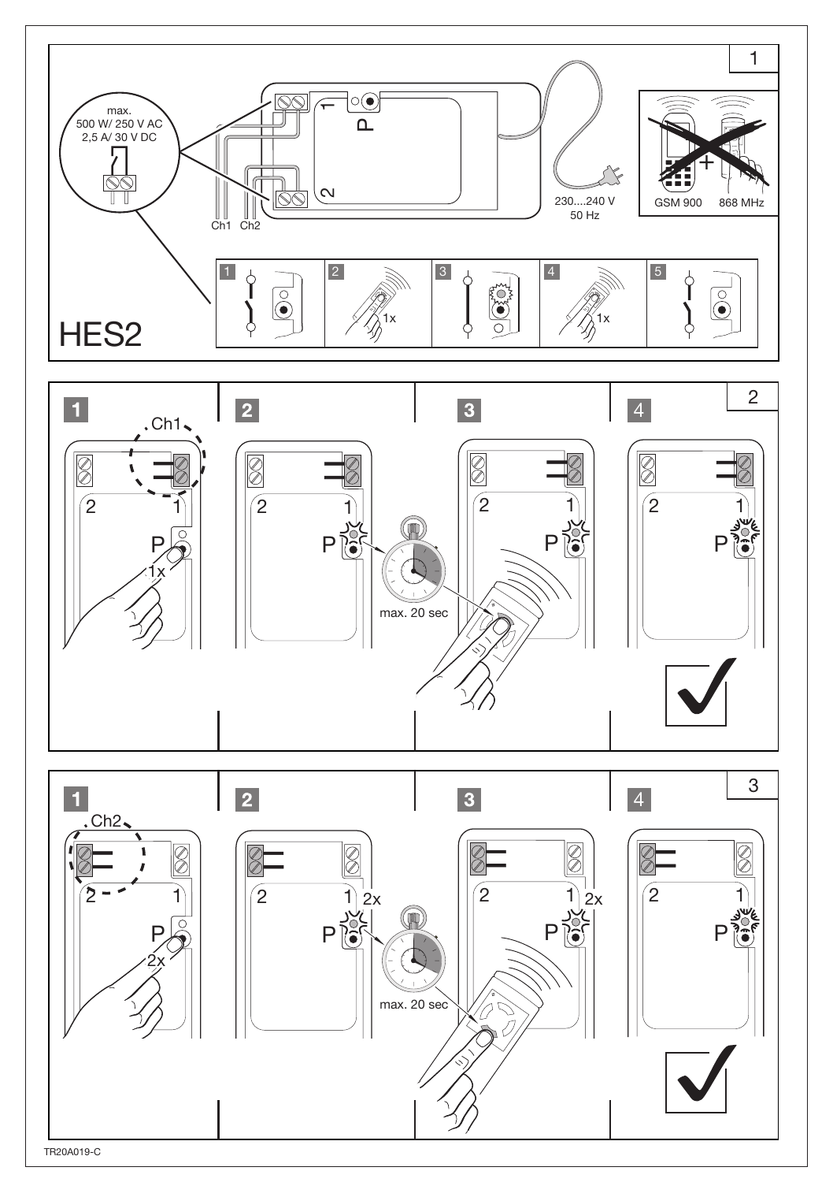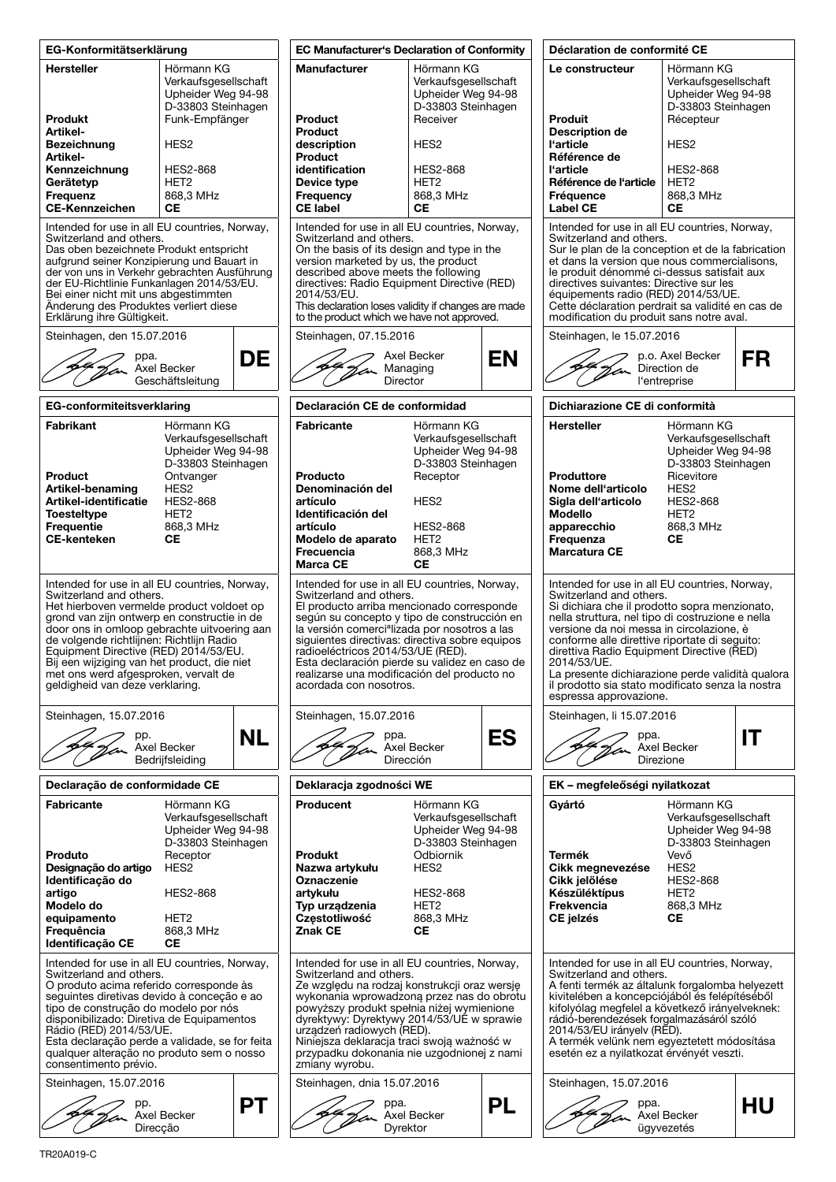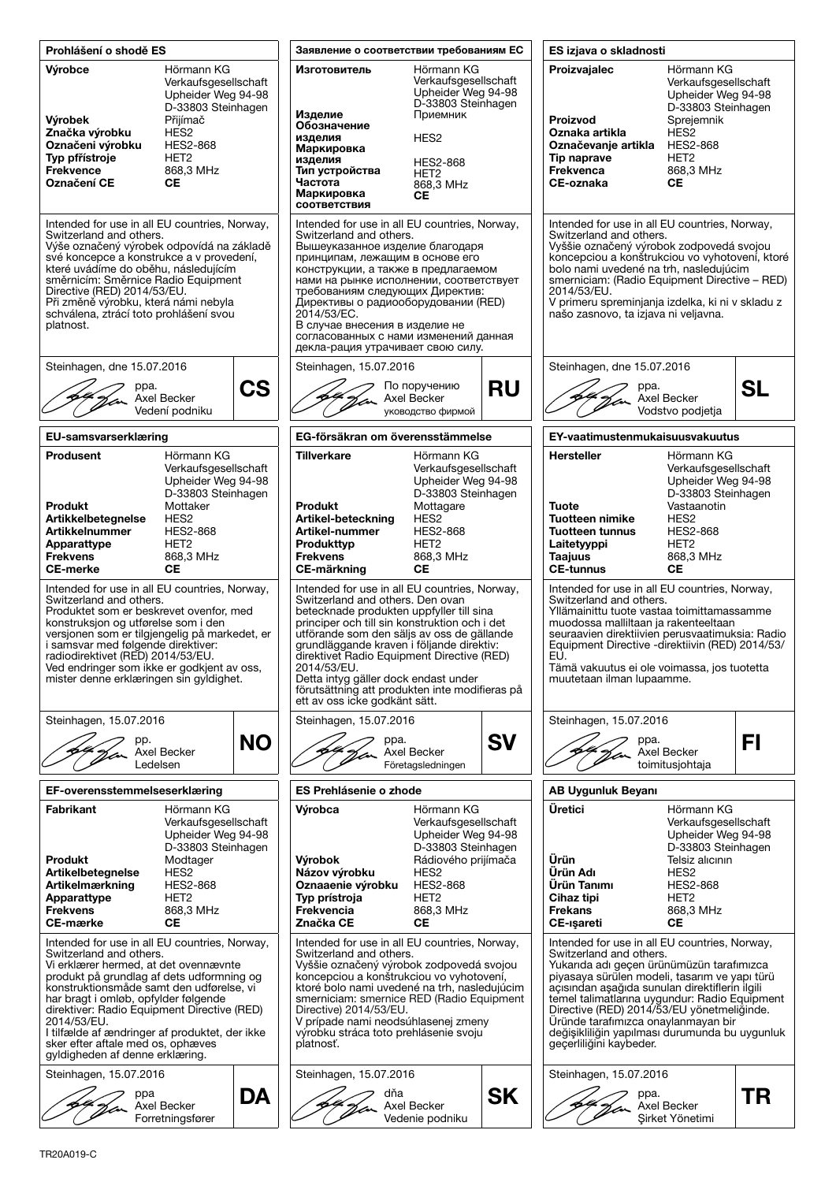